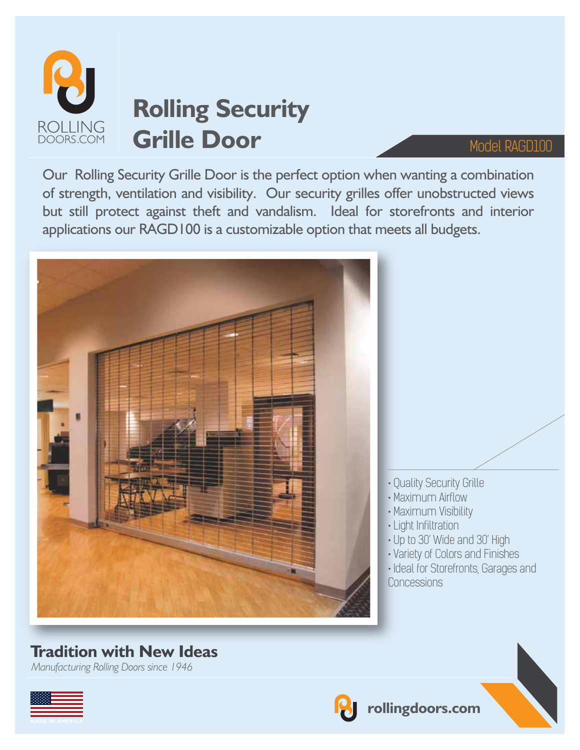

# **Rolling Security Grille Door** Model RAGD100

Our Rolling Security Grille Door is the perfect option when wanting a combination of strength, ventilation and visibility. Our security grilles offer unobstructed views but still protect against theft and vandalism. Ideal for storefronts and interior applications our RAGD100 is a customizable option that meets all budgets.



### **Tradition with New Ideas**

*Manufacturing Rolling Doors since 1946*